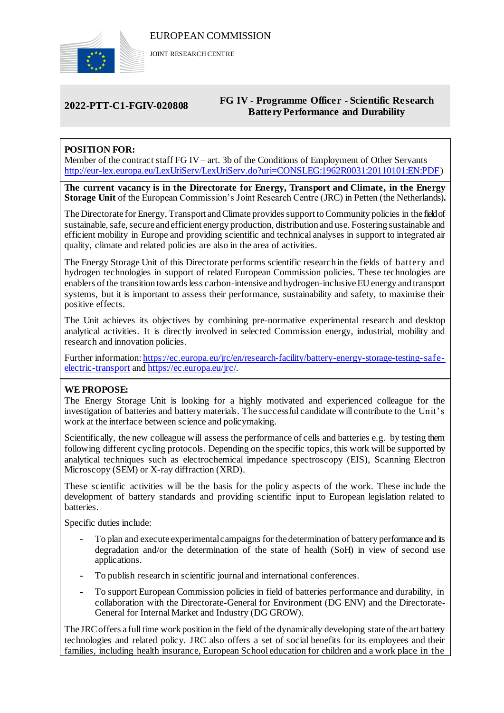

JOINT RESEARCH CENTRE

# **2022-PTT-C1-FGIV-020808 FG IV - Programme Officer - Scientific Research Battery Performance and Durability**

# **POSITION FOR:**

Member of the contract staff FG IV– art. 3b of the Conditions of Employment of Other Servants [http://eur-lex.europa.eu/LexUriServ/LexUriServ.do?uri=CONSLEG:1962R0031:20110101:EN:PDF\)](http://eur-lex.europa.eu/LexUriServ/LexUriServ.do?uri=CONSLEG:1962R0031:20110101:EN:PDF)

**The current vacancy is in the Directorate for Energy, Transport and Climate, in the Energy Storage Unit** of the European Commission's Joint Research Centre (JRC) in Petten (the Netherlands)**.**

The Directorate for Energy, Transport and Climate provides support to Community policies in the field of sustainable, safe, secure and efficient energy production, distribution and use. Fostering sustainable and efficient mobility in Europe and providing scientific and technical analyses in support to integrated air quality, climate and related policies are also in the area of activities.

The Energy Storage Unit of this Directorate performs scientific research in the fields of battery and hydrogen technologies in support of related European Commission policies. These technologies are enablers of the transition towards less carbon-intensive and hydrogen-inclusive EU energy and transport systems, but it is important to assess their performance, sustainability and safety, to maximise their positive effects.

The Unit achieves its objectives by combining pre-normative experimental research and desktop analytical activities. It is directly involved in selected Commission energy, industrial, mobility and research and innovation policies.

Further information: h[ttps://ec.europa.eu/jrc/en/research-facility/battery-energy-storage-testing-safe](https://ec.europa.eu/jrc/en/research-facility/battery-energy-storage-testing-safe-electric-transport)[electric-transport](https://ec.europa.eu/jrc/en/research-facility/battery-energy-storage-testing-safe-electric-transport) an[d https://ec.europa.eu/jrc/.](https://ec.europa.eu/jrc/)

# **WE PROPOSE:**

The Energy Storage Unit is looking for a highly motivated and experienced colleague for the investigation of batteries and battery materials. The successful candidate will contribute to the Unit's work at the interface between science and policymaking.

Scientifically, the new colleague will assess the performance of cells and batteries e.g. by testing them following different cycling protocols. Depending on the specific topics, this work will be supported by analytical techniques such as electrochemical impedance spectroscopy (EIS), Scanning Electron Microscopy (SEM) or X-ray diffraction (XRD).

These scientific activities will be the basis for the policy aspects of the work. These include the development of battery standards and providing scientific input to European legislation related to batteries.

Specific duties include:

- To plan and execute experimental campaigns for the determination of battery performance and its degradation and/or the determination of the state of health (SoH) in view of second use applications.
- To publish research in scientific journal and international conferences.
- To support European Commission policies in field of batteries performance and durability, in collaboration with the Directorate-General for Environment (DG ENV) and the Directorate-General for Internal Market and Industry (DG GROW).

The JRC offers a full time work position in the field of the dynamically developing state of the art battery technologies and related policy. JRC also offers a set of social benefits for its employees and their families, including health insurance, European School education for children and a work place in the